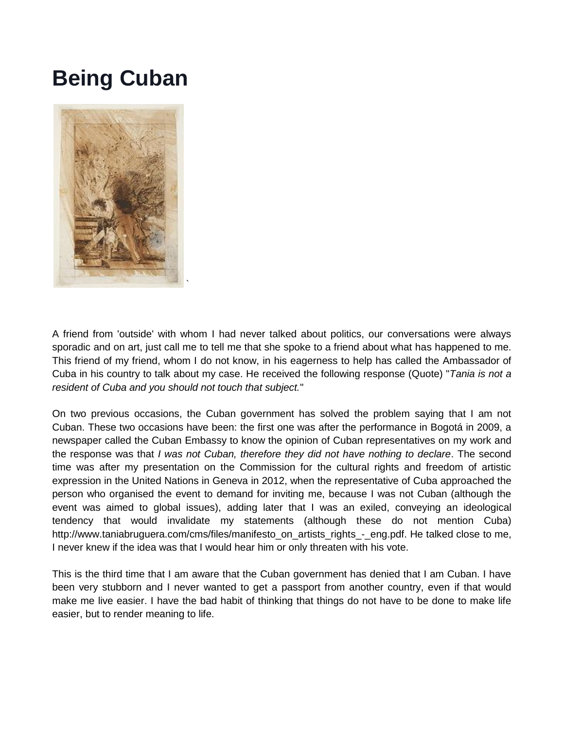## **Being Cuban**



A friend from 'outside' with whom I had never talked about politics, our conversations were always sporadic and on art, just call me to tell me that she spoke to a friend about what has happened to me. This friend of my friend, whom I do not know, in his eagerness to help has called the Ambassador of Cuba in his country to talk about my case. He received the following response (Quote) "*Tania is not a resident of Cuba and you should not touch that subject.*"

On two previous occasions, the Cuban government has solved the problem saying that I am not Cuban. These two occasions have been: the first one was after the performance in Bogotá in 2009, a newspaper called the Cuban Embassy to know the opinion of Cuban representatives on my work and the response was that *I was not Cuban, therefore they did not have nothing to declare*. The second time was after my presentation on the Commission for the cultural rights and freedom of artistic expression in the United Nations in Geneva in 2012, when the representative of Cuba approached the person who organised the event to demand for inviting me, because I was not Cuban (although the event was aimed to global issues), adding later that I was an exiled, conveying an ideological tendency that would invalidate my statements (although these do not mention Cuba) http://www.taniabruguera.com/cms/files/manifesto\_on\_artists\_rights\_-\_eng.pdf. He talked close to me, I never knew if the idea was that I would hear him or only threaten with his vote.

This is the third time that I am aware that the Cuban government has denied that I am Cuban. I have been very stubborn and I never wanted to get a passport from another country, even if that would make me live easier. I have the bad habit of thinking that things do not have to be done to make life easier, but to render meaning to life.